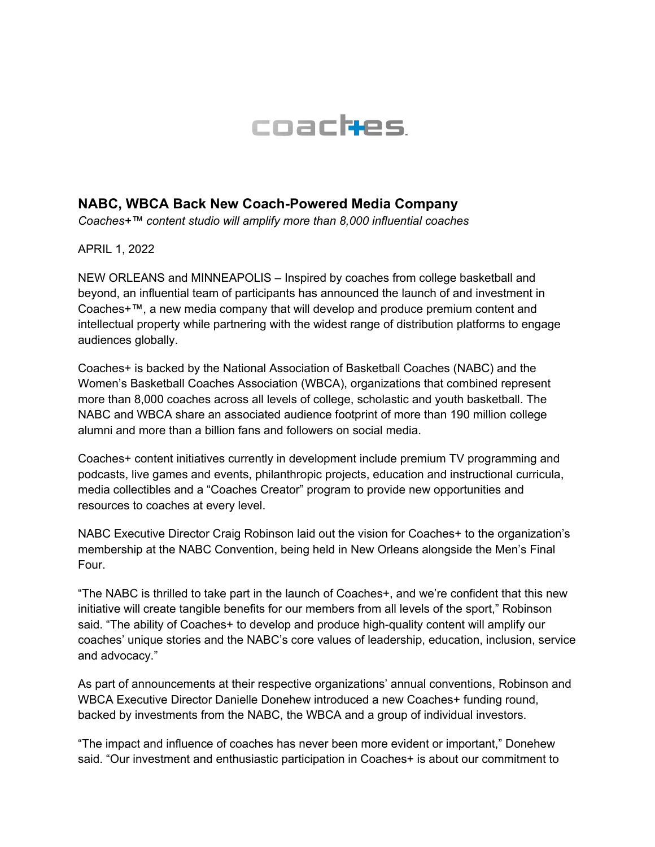

## **NABC, WBCA Back New Coach-Powered Media Company**

*Coaches+™ content studio will amplify more than 8,000 influential coaches*

APRIL 1, 2022

NEW ORLEANS and MINNEAPOLIS – Inspired by coaches from college basketball and beyond, an influential team of participants has announced the launch of and investment in Coaches+™, a new media company that will develop and produce premium content and intellectual property while partnering with the widest range of distribution platforms to engage audiences globally.

Coaches+ is backed by the National Association of Basketball Coaches (NABC) and the Women's Basketball Coaches Association (WBCA), organizations that combined represent more than 8,000 coaches across all levels of college, scholastic and youth basketball. The NABC and WBCA share an associated audience footprint of more than 190 million college alumni and more than a billion fans and followers on social media.

Coaches+ content initiatives currently in development include premium TV programming and podcasts, live games and events, philanthropic projects, education and instructional curricula, media collectibles and a "Coaches Creator" program to provide new opportunities and resources to coaches at every level.

NABC Executive Director Craig Robinson laid out the vision for Coaches+ to the organization's membership at the NABC Convention, being held in New Orleans alongside the Men's Final Four.

"The NABC is thrilled to take part in the launch of Coaches+, and we're confident that this new initiative will create tangible benefits for our members from all levels of the sport," Robinson said. "The ability of Coaches+ to develop and produce high-quality content will amplify our coaches' unique stories and the NABC's core values of leadership, education, inclusion, service and advocacy."

As part of announcements at their respective organizations' annual conventions, Robinson and WBCA Executive Director Danielle Donehew introduced a new Coaches+ funding round, backed by investments from the NABC, the WBCA and a group of individual investors.

"The impact and influence of coaches has never been more evident or important," Donehew said. "Our investment and enthusiastic participation in Coaches+ is about our commitment to